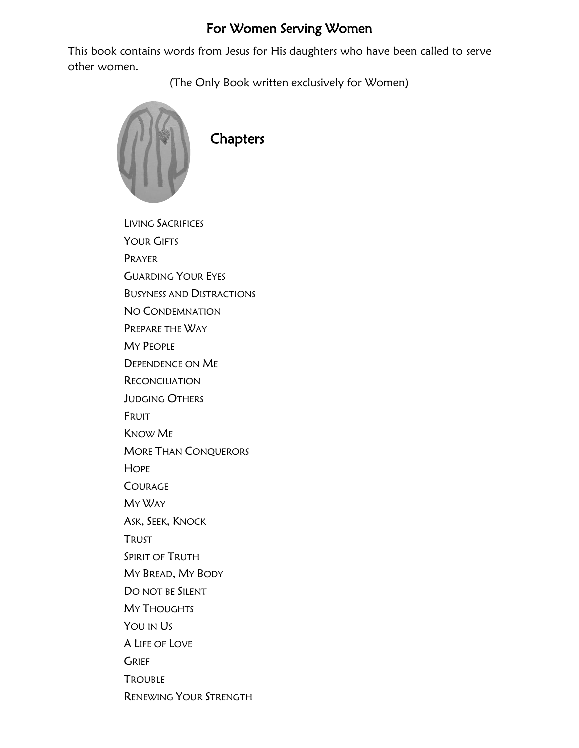## For Women Serving Women

This book contains words from Jesus for His daughters who have been called to serve other women.

(The Only Book written exclusively for Women)



LIVING SACRIFICES YOUR GIFTS PRAYER GUARDING YOUR EYES BUSYNESS AND DISTRACTIONS NO CONDEMNATION PREPARE THE WAY MY PEOPLE DEPENDENCE ON ME **RECONCILIATION** JUDGING OTHERS FRUIT KNOW ME MORE THAN CONQUERORS **HOPE** COURAGE MY WAY ASK, SEEK, KNOCK TRUST SPIRIT OF TRUTH MY BREAD, MY BODY DO NOT BE SILENT MY THOUGHTS YOU IN US A LIFE OF LOVE **GRIEF TROUBLE** RENEWING YOUR STRENGTH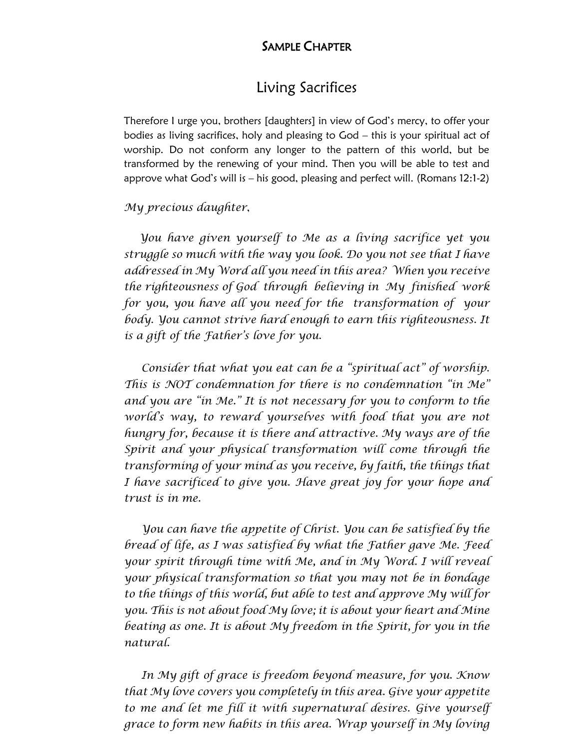#### SAMPLE CHAPTER

### Living Sacrifices

Therefore I urge you, brothers [daughters] in view of God's mercy, to offer your bodies as living sacrifices, holy and pleasing to God – this is your spiritual act of worship. Do not conform any longer to the pattern of this world, but be transformed by the renewing of your mind. Then you will be able to test and approve what God's will is – his good, pleasing and perfect will. (Romans 12:1-2)

#### *My precious daughter*,

 *You have given yourself to Me as a living sacrifice yet you struggle so much with the way you look. Do you not see that I have addressed in My Word all you need in this area? When you receive the righteousness of God through believing in My finished work for you, you have all you need for the transformation of your body. You cannot strive hard enough to earn this righteousness. It is a gift of the Father's love for you.*

 *Consider that what you eat can be a "spiritual act" of worship. This is NOT condemnation for there is no condemnation "in Me" and you are "in Me." It is not necessary for you to conform to the world's way, to reward yourselves with food that you are not hungry for, because it is there and attractive. My ways are of the Spirit and your physical transformation will come through the transforming of your mind as you receive, by faith, the things that I have sacrificed to give you. Have great joy for your hope and trust is in me.*

 *You can have the appetite of Christ. You can be satisfied by the bread of life, as I was satisfied by what the Father gave Me. Feed your spirit through time with Me, and in My Word. I will reveal your physical transformation so that you may not be in bondage to the things of this world, but able to test and approve My will for you. This is not about food My love; it is about your heart and Mine beating as one. It is about My freedom in the Spirit, for you in the natural.*

 *In My gift of grace is freedom beyond measure, for you. Know that My love covers you completely in this area. Give your appetite to me and let me fill it with supernatural desires. Give yourself grace to form new habits in this area. Wrap yourself in My loving*